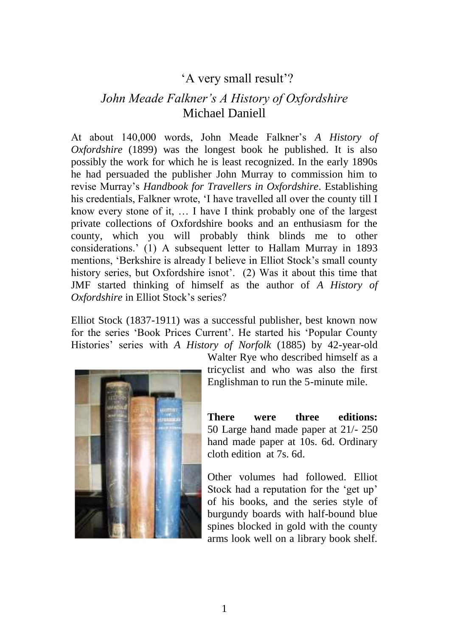## 'A very small result'?

## *John Meade Falkner's A History of Oxfordshire* Michael Daniell

At about 140,000 words, John Meade Falkner's *A History of Oxfordshire* (1899) was the longest book he published. It is also possibly the work for which he is least recognized. In the early 1890s he had persuaded the publisher John Murray to commission him to revise Murray's *Handbook for Travellers in Oxfordshire*. Establishing his credentials, Falkner wrote, 'I have travelled all over the county till I know every stone of it, … I have I think probably one of the largest private collections of Oxfordshire books and an enthusiasm for the county, which you will probably think blinds me to other considerations.' (1) A subsequent letter to Hallam Murray in 1893 mentions, 'Berkshire is already I believe in Elliot Stock's small county history series, but Oxfordshire isnot'. (2) Was it about this time that JMF started thinking of himself as the author of *A History of Oxfordshire* in Elliot Stock's series?

Elliot Stock (1837-1911) was a successful publisher, best known now for the series 'Book Prices Current'. He started his 'Popular County Histories' series with *A History of Norfolk* (1885) by 42-year-old



Walter Rye who described himself as a tricyclist and who was also the first Englishman to run the 5-minute mile.

**There were three editions:**  50 Large hand made paper at 21/- 250 hand made paper at 10s. 6d. Ordinary cloth edition at 7s. 6d.

Other volumes had followed. Elliot Stock had a reputation for the 'get up' of his books, and the series style of burgundy boards with half-bound blue spines blocked in gold with the county arms look well on a library book shelf.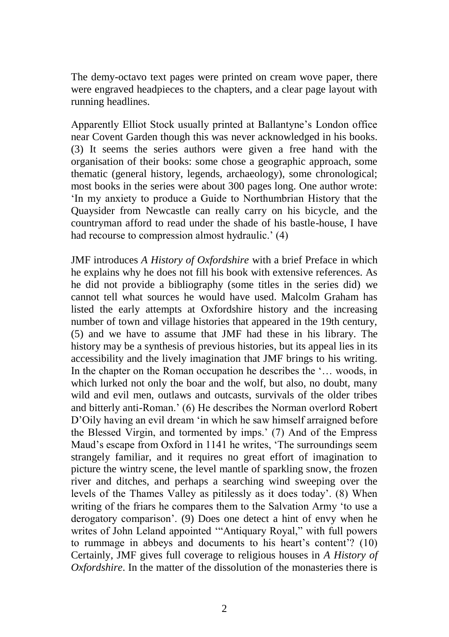The demy-octavo text pages were printed on cream wove paper, there were engraved headpieces to the chapters, and a clear page layout with running headlines.

Apparently Elliot Stock usually printed at Ballantyne's London office near Covent Garden though this was never acknowledged in his books. (3) It seems the series authors were given a free hand with the organisation of their books: some chose a geographic approach, some thematic (general history, legends, archaeology), some chronological; most books in the series were about 300 pages long. One author wrote: 'In my anxiety to produce a Guide to Northumbrian History that the Quaysider from Newcastle can really carry on his bicycle, and the countryman afford to read under the shade of his bastle-house, I have had recourse to compression almost hydraulic.' (4)

JMF introduces *A History of Oxfordshire* with a brief Preface in which he explains why he does not fill his book with extensive references. As he did not provide a bibliography (some titles in the series did) we cannot tell what sources he would have used. Malcolm Graham has listed the early attempts at Oxfordshire history and the increasing number of town and village histories that appeared in the 19th century, (5) and we have to assume that JMF had these in his library. The history may be a synthesis of previous histories, but its appeal lies in its accessibility and the lively imagination that JMF brings to his writing. In the chapter on the Roman occupation he describes the '... woods, in which lurked not only the boar and the wolf, but also, no doubt, many wild and evil men, outlaws and outcasts, survivals of the older tribes and bitterly anti-Roman.' (6) He describes the Norman overlord Robert D'Oily having an evil dream 'in which he saw himself arraigned before the Blessed Virgin, and tormented by imps.' (7) And of the Empress Maud's escape from Oxford in 1141 he writes, 'The surroundings seem strangely familiar, and it requires no great effort of imagination to picture the wintry scene, the level mantle of sparkling snow, the frozen river and ditches, and perhaps a searching wind sweeping over the levels of the Thames Valley as pitilessly as it does today'. (8) When writing of the friars he compares them to the Salvation Army 'to use a derogatory comparison'. (9) Does one detect a hint of envy when he writes of John Leland appointed '"Antiquary Royal," with full powers to rummage in abbeys and documents to his heart's content'? (10) Certainly, JMF gives full coverage to religious houses in *A History of Oxfordshire*. In the matter of the dissolution of the monasteries there is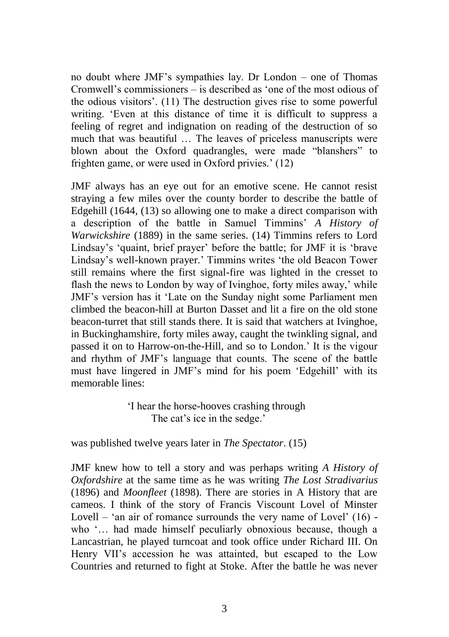no doubt where JMF's sympathies lay. Dr London – one of Thomas Cromwell's commissioners – is described as 'one of the most odious of the odious visitors'. (11) The destruction gives rise to some powerful writing. 'Even at this distance of time it is difficult to suppress a feeling of regret and indignation on reading of the destruction of so much that was beautiful … The leaves of priceless manuscripts were blown about the Oxford quadrangles, were made "blanshers" to frighten game, or were used in Oxford privies.' (12)

JMF always has an eye out for an emotive scene. He cannot resist straying a few miles over the county border to describe the battle of Edgehill (1644, (13) so allowing one to make a direct comparison with a description of the battle in Samuel Timmins' *A History of Warwickshire* (1889) in the same series. (14) Timmins refers to Lord Lindsay's 'quaint, brief prayer' before the battle; for JMF it is 'brave Lindsay's well-known prayer.' Timmins writes 'the old Beacon Tower still remains where the first signal-fire was lighted in the cresset to flash the news to London by way of Ivinghoe, forty miles away,' while JMF's version has it 'Late on the Sunday night some Parliament men climbed the beacon-hill at Burton Dasset and lit a fire on the old stone beacon-turret that still stands there. It is said that watchers at Ivinghoe, in Buckinghamshire, forty miles away, caught the twinkling signal, and passed it on to Harrow-on-the-Hill, and so to London.' It is the vigour and rhythm of JMF's language that counts. The scene of the battle must have lingered in JMF's mind for his poem 'Edgehill' with its memorable lines:

> 'I hear the horse-hooves crashing through The cat's ice in the sedge.'

was published twelve years later in *The Spectator*. (15)

JMF knew how to tell a story and was perhaps writing *A History of Oxfordshire* at the same time as he was writing *The Lost Stradivarius* (1896) and *Moonfleet* (1898). There are stories in A History that are cameos. I think of the story of Francis Viscount Lovel of Minster Lovell – 'an air of romance surrounds the very name of Lovel'  $(16)$  who '… had made himself peculiarly obnoxious because, though a Lancastrian, he played turncoat and took office under Richard III. On Henry VII's accession he was attainted, but escaped to the Low Countries and returned to fight at Stoke. After the battle he was never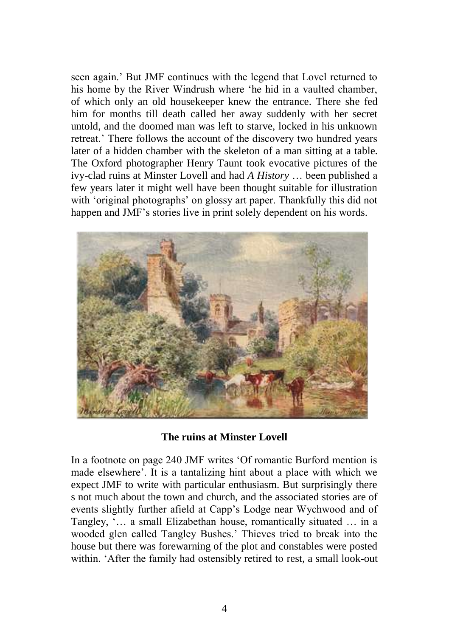seen again.' But JMF continues with the legend that Lovel returned to his home by the River Windrush where 'he hid in a vaulted chamber, of which only an old housekeeper knew the entrance. There she fed him for months till death called her away suddenly with her secret untold, and the doomed man was left to starve, locked in his unknown retreat.' There follows the account of the discovery two hundred years later of a hidden chamber with the skeleton of a man sitting at a table. The Oxford photographer Henry Taunt took evocative pictures of the ivy-clad ruins at Minster Lovell and had *A History* … been published a few years later it might well have been thought suitable for illustration with 'original photographs' on glossy art paper. Thankfully this did not happen and JMF's stories live in print solely dependent on his words.



**The ruins at Minster Lovell**

In a footnote on page 240 JMF writes 'Of romantic Burford mention is made elsewhere'. It is a tantalizing hint about a place with which we expect JMF to write with particular enthusiasm. But surprisingly there s not much about the town and church, and the associated stories are of events slightly further afield at Capp's Lodge near Wychwood and of Tangley, '… a small Elizabethan house, romantically situated … in a wooded glen called Tangley Bushes.' Thieves tried to break into the house but there was forewarning of the plot and constables were posted within. 'After the family had ostensibly retired to rest, a small look-out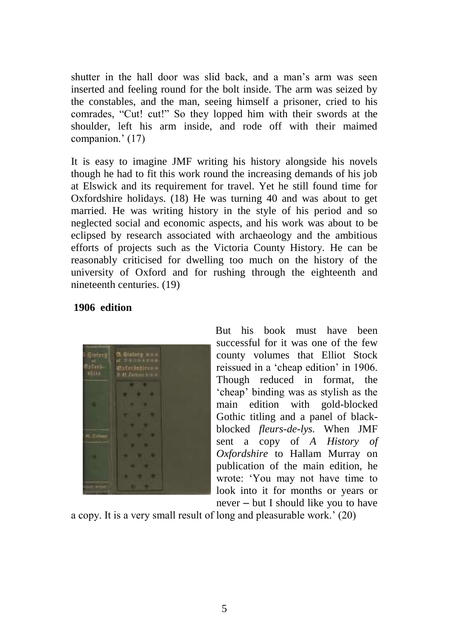shutter in the hall door was slid back, and a man's arm was seen inserted and feeling round for the bolt inside. The arm was seized by the constables, and the man, seeing himself a prisoner, cried to his comrades, "Cut! cut!" So they lopped him with their swords at the shoulder, left his arm inside, and rode off with their maimed companion.' (17)

It is easy to imagine JMF writing his history alongside his novels though he had to fit this work round the increasing demands of his job at Elswick and its requirement for travel. Yet he still found time for Oxfordshire holidays. (18) He was turning 40 and was about to get married. He was writing history in the style of his period and so neglected social and economic aspects, and his work was about to be eclipsed by research associated with archaeology and the ambitious efforts of projects such as the Victoria County History. He can be reasonably criticised for dwelling too much on the history of the university of Oxford and for rushing through the eighteenth and nineteenth centuries. (19)

## **1906 edition**



But his book must have been successful for it was one of the few county volumes that Elliot Stock reissued in a 'cheap edition' in 1906. Though reduced in format, the 'cheap' binding was as stylish as the main edition with gold-blocked Gothic titling and a panel of blackblocked *fleurs-de-lys.* When JMF sent a copy of *A History of Oxfordshire* to Hallam Murray on publication of the main edition, he wrote: 'You may not have time to look into it for months or years or never – but I should like you to have

a copy. It is a very small result of long and pleasurable work.' (20)